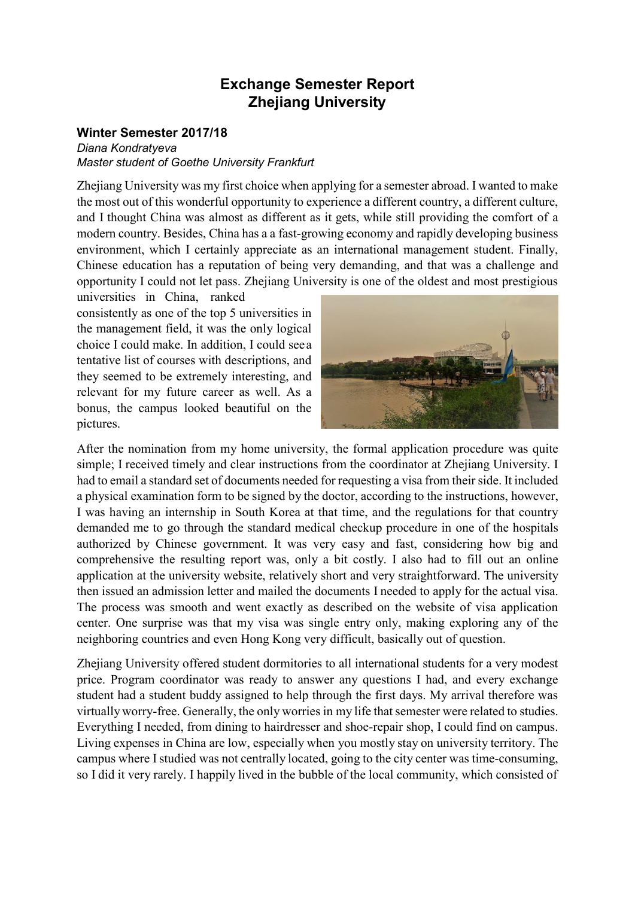# **Exchange Semester Report Zhejiang University**

## **Winter Semester 2017/18**

*Diana Kondratyeva Master student of Goethe University Frankfurt*

Zhejiang University was my first choice when applying for a semester abroad. I wanted to make the most out of this wonderful opportunity to experience a different country, a different culture, and I thought China was almost as different as it gets, while still providing the comfort of a modern country. Besides, China has a a fast-growing economy and rapidly developing business environment, which I certainly appreciate as an international management student. Finally, Chinese education has a reputation of being very demanding, and that was a challenge and opportunity I could not let pass. Zhejiang University is one of the oldest and most prestigious universities in China, ranked

consistently as one of the top 5 universities in the management field, it was the only logical choice I could make. In addition, I could seea tentative list of courses with descriptions, and they seemed to be extremely interesting, and relevant for my future career as well. As a bonus, the campus looked beautiful on the pictures.



After the nomination from my home university, the formal application procedure was quite simple; I received timely and clear instructions from the coordinator at Zhejiang University. I had to email a standard set of documents needed for requesting a visa from their side. It included a physical examination form to be signed by the doctor, according to the instructions, however, I was having an internship in South Korea at that time, and the regulations for that country demanded me to go through the standard medical checkup procedure in one of the hospitals authorized by Chinese government. It was very easy and fast, considering how big and comprehensive the resulting report was, only a bit costly. I also had to fill out an online application at the university website, relatively short and very straightforward. The university then issued an admission letter and mailed the documents I needed to apply for the actual visa. The process was smooth and went exactly as described on the website of visa application center. One surprise was that my visa was single entry only, making exploring any of the neighboring countries and even Hong Kong very difficult, basically out of question.

Zhejiang University offered student dormitories to all international students for a very modest price. Program coordinator was ready to answer any questions I had, and every exchange student had a student buddy assigned to help through the first days. My arrival therefore was virtually worry-free. Generally, the only worries in my life that semester were related to studies. Everything I needed, from dining to hairdresser and shoe-repair shop, I could find on campus. Living expenses in China are low, especially when you mostly stay on university territory. The campus where Istudied was not centrally located, going to the city center was time-consuming, so I did it very rarely. I happily lived in the bubble of the local community, which consisted of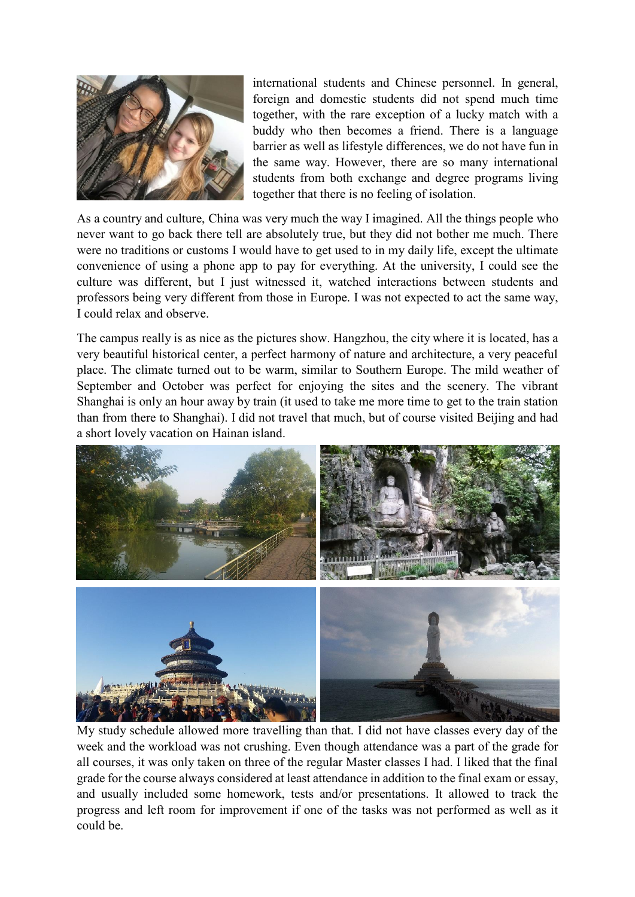

international students and Chinese personnel. In general, foreign and domestic students did not spend much time together, with the rare exception of a lucky match with a buddy who then becomes a friend. There is a language barrier as well as lifestyle differences, we do not have fun in the same way. However, there are so many international students from both exchange and degree programs living together that there is no feeling of isolation.

As a country and culture, China was very much the way I imagined. All the things people who never want to go back there tell are absolutely true, but they did not bother me much. There were no traditions or customs I would have to get used to in my daily life, except the ultimate convenience of using a phone app to pay for everything. At the university, I could see the culture was different, but I just witnessed it, watched interactions between students and professors being very different from those in Europe. I was not expected to act the same way, I could relax and observe.

The campus really is as nice as the pictures show. Hangzhou, the city where it is located, has a very beautiful historical center, a perfect harmony of nature and architecture, a very peaceful place. The climate turned out to be warm, similar to Southern Europe. The mild weather of September and October was perfect for enjoying the sites and the scenery. The vibrant Shanghai is only an hour away by train (it used to take me more time to get to the train station than from there to Shanghai). I did not travel that much, but of course visited Beijing and had a short lovely vacation on Hainan island.



My study schedule allowed more travelling than that. I did not have classes every day of the week and the workload was not crushing. Even though attendance was a part of the grade for all courses, it was only taken on three of the regular Master classes I had. I liked that the final grade for the course always considered at least attendance in addition to the final exam or essay, and usually included some homework, tests and/or presentations. It allowed to track the progress and left room for improvement if one of the tasks was not performed as well as it could be.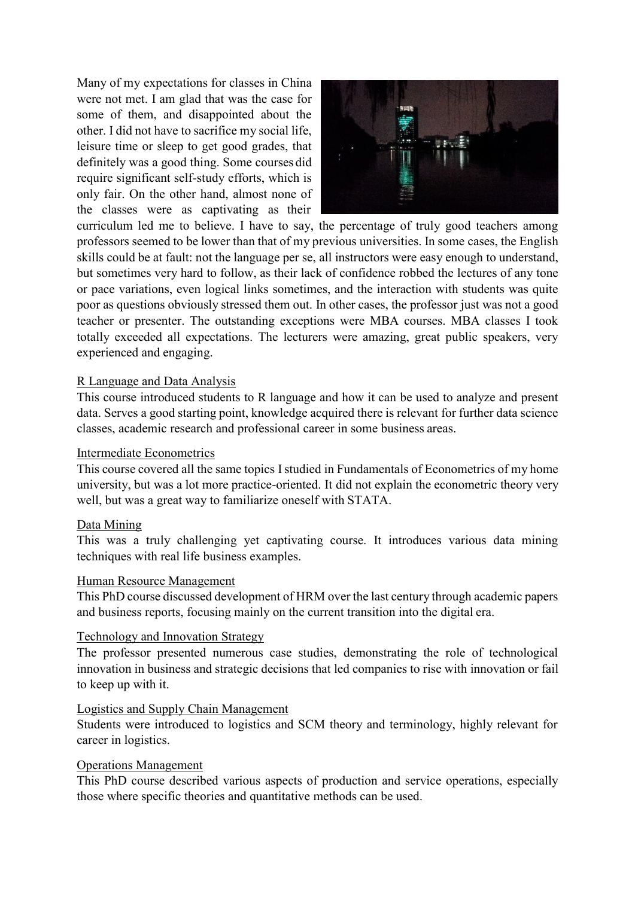Many of my expectations for classes in China were not met. I am glad that was the case for some of them, and disappointed about the other. I did not have to sacrifice my social life, leisure time or sleep to get good grades, that definitely was a good thing. Some courses did require significant self-study efforts, which is only fair. On the other hand, almost none of the classes were as captivating as their



curriculum led me to believe. I have to say, the percentage of truly good teachers among professors seemed to be lower than that of my previous universities. In some cases, the English skills could be at fault: not the language per se, all instructors were easy enough to understand, but sometimes very hard to follow, as their lack of confidence robbed the lectures of any tone or pace variations, even logical links sometimes, and the interaction with students was quite poor as questions obviously stressed them out. In other cases, the professor just was not a good teacher or presenter. The outstanding exceptions were MBA courses. MBA classes I took totally exceeded all expectations. The lecturers were amazing, great public speakers, very experienced and engaging.

### R Language and Data Analysis

This course introduced students to R language and how it can be used to analyze and present data. Serves a good starting point, knowledge acquired there is relevant for further data science classes, academic research and professional career in some business areas.

#### Intermediate Econometrics

This course covered all the same topics Istudied in Fundamentals of Econometrics of my home university, but was a lot more practice-oriented. It did not explain the econometric theory very well, but was a great way to familiarize oneself with STATA.

#### Data Mining

This was a truly challenging yet captivating course. It introduces various data mining techniques with real life business examples.

#### Human Resource Management

This PhD course discussed development of HRM over the last century through academic papers and business reports, focusing mainly on the current transition into the digital era.

#### Technology and Innovation Strategy

The professor presented numerous case studies, demonstrating the role of technological innovation in business and strategic decisions that led companies to rise with innovation or fail to keep up with it.

#### Logistics and Supply Chain Management

Students were introduced to logistics and SCM theory and terminology, highly relevant for career in logistics.

#### Operations Management

This PhD course described various aspects of production and service operations, especially those where specific theories and quantitative methods can be used.